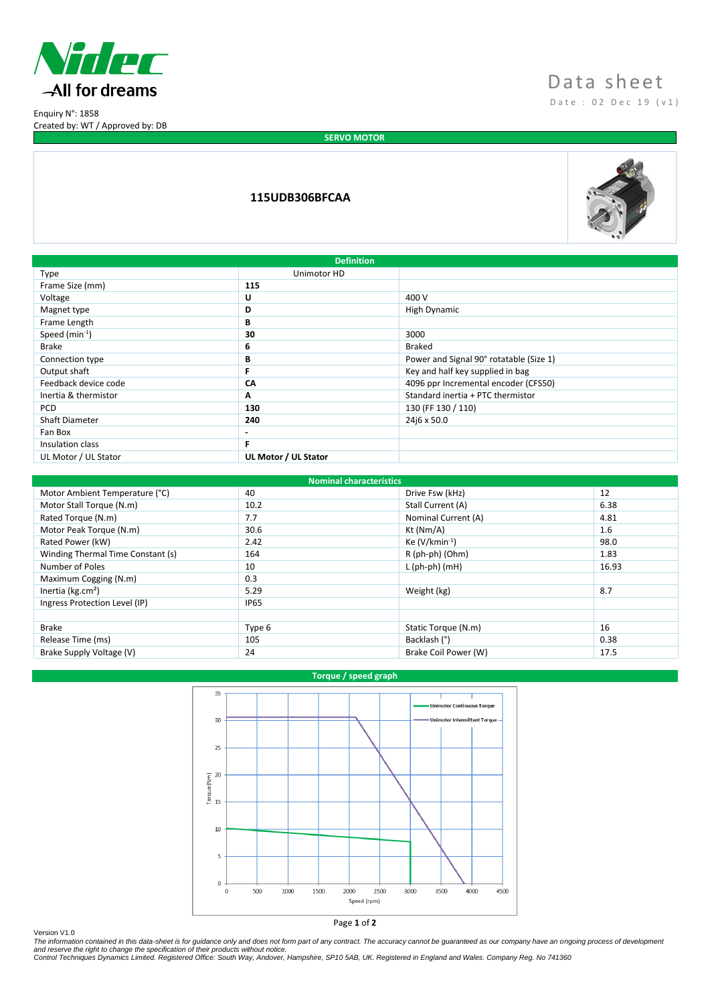

Enquiry N°: 1858 Created by: WT / Approved by: DB

# Data sheet D a t e : 0 2 D e c 1 9 ( v 1 )

**SERVO MOTOR** 

## **115UDB306BFCAA**



| <b>Definition</b>    |                      |                                         |  |  |
|----------------------|----------------------|-----------------------------------------|--|--|
| Type                 | Unimotor HD          |                                         |  |  |
| Frame Size (mm)      | 115                  |                                         |  |  |
| Voltage              | U                    | 400 V                                   |  |  |
| Magnet type          | D                    | High Dynamic                            |  |  |
| Frame Length         | В                    |                                         |  |  |
| Speed $(min^{-1})$   | 30                   | 3000                                    |  |  |
| <b>Brake</b>         | 6                    | <b>Braked</b>                           |  |  |
| Connection type      | В                    | Power and Signal 90° rotatable (Size 1) |  |  |
| Output shaft         | F                    | Key and half key supplied in bag        |  |  |
| Feedback device code | CΛ                   | 4096 ppr Incremental encoder (CFS50)    |  |  |
| Inertia & thermistor | Α                    | Standard inertia + PTC thermistor       |  |  |
| <b>PCD</b>           | 130                  | 130 (FF 130 / 110)                      |  |  |
| Shaft Diameter       | 240                  | 24j6 x 50.0                             |  |  |
| Fan Box              | $\blacksquare$       |                                         |  |  |
| Insulation class     | F.                   |                                         |  |  |
| UL Motor / UL Stator | UL Motor / UL Stator |                                         |  |  |
|                      |                      |                                         |  |  |

| <b>Nominal characteristics</b>    |             |                      |       |  |  |
|-----------------------------------|-------------|----------------------|-------|--|--|
| Motor Ambient Temperature (°C)    | 40          | Drive Fsw (kHz)      | 12    |  |  |
| Motor Stall Torque (N.m)          | 10.2        | Stall Current (A)    | 6.38  |  |  |
| Rated Torque (N.m)                | 7.7         | Nominal Current (A)  | 4.81  |  |  |
| Motor Peak Torque (N.m)           | 30.6        | Kt (Nm/A)            | 1.6   |  |  |
| Rated Power (kW)                  | 2.42        | Ke $(V/kmin^{-1})$   | 98.0  |  |  |
| Winding Thermal Time Constant (s) | 164         | R (ph-ph) (Ohm)      | 1.83  |  |  |
| Number of Poles                   | 10          | $L$ (ph-ph) (mH)     | 16.93 |  |  |
| Maximum Cogging (N.m)             | 0.3         |                      |       |  |  |
| Inertia ( $kg.cm2$ )              | 5.29        | Weight (kg)          | 8.7   |  |  |
| Ingress Protection Level (IP)     | <b>IP65</b> |                      |       |  |  |
|                                   |             |                      |       |  |  |
| <b>Brake</b>                      | Type 6      | Static Torque (N.m)  | 16    |  |  |
| Release Time (ms)                 | 105         | Backlash (°)         | 0.38  |  |  |
| Brake Supply Voltage (V)          | 24          | Brake Coil Power (W) | 17.5  |  |  |

## **Torque / speed graph**



Version V1.0<br>The information contained in this data-sheet is for guidance only and does not form part of any contract. The accuracy cannot be guaranteed as our company have an ongoing process of development<br>and reserve the